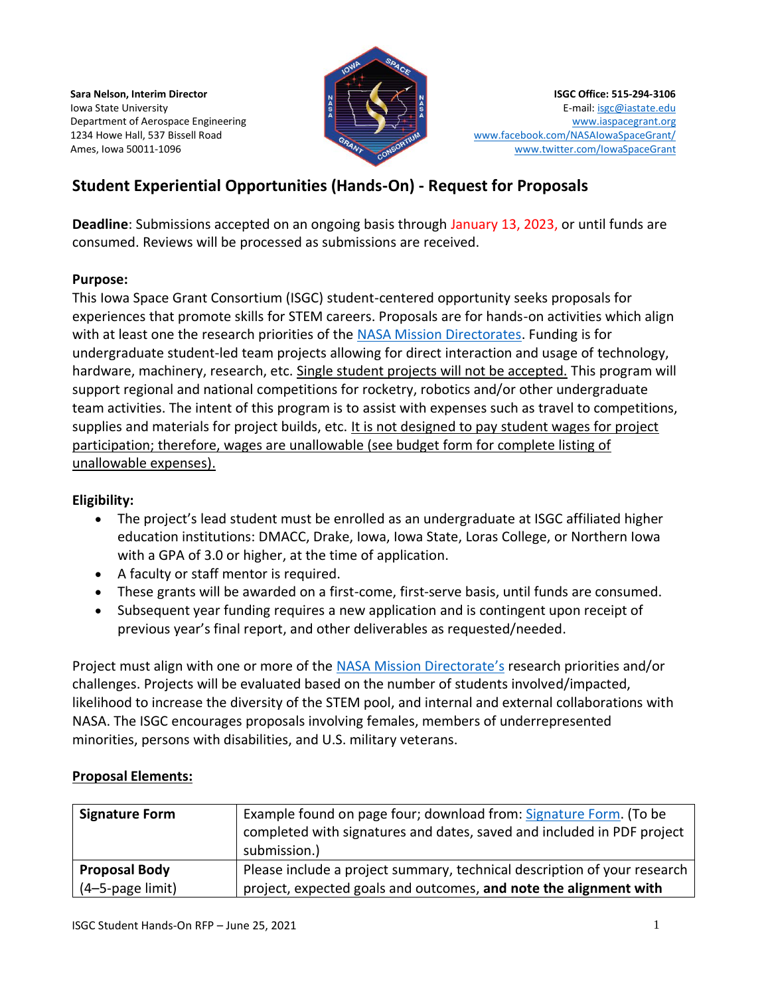**Sara Nelson, Interim Director** Iowa State University Department of Aerospace Engineering 1234 Howe Hall, 537 Bissell Road Ames, Iowa 50011-1096



**ISGC Office: 515-294-3106** E-mail[: isgc@iastate.edu](mailto:isgc@iastate.edu) [www.iaspacegrant.org](http://www.iaspacegrant.org/) [www.facebook.com/NASAIowaSpaceGrant/](http://www.facebook.com/NASAIowaSpaceGrant/) [www.twitter.com/IowaSpaceGrant](http://www.twitter.com/IowaSpaceGrant)

# **Student Experiential Opportunities (Hands-On) - Request for Proposals**

**Deadline**: Submissions accepted on an ongoing basis through January 13, 2023, or until funds are consumed. Reviews will be processed as submissions are received.

### **Purpose:**

This Iowa Space Grant Consortium (ISGC) student-centered opportunity seeks proposals for experiences that promote skills for STEM careers. Proposals are for hands-on activities which align with at least one the research priorities of the [NASA Mission Directorates.](https://www.iaspacegrant.org/nasa-mission-directorates-and-field-centers-links/) Funding is for undergraduate student-led team projects allowing for direct interaction and usage of technology, hardware, machinery, research, etc. Single student projects will not be accepted. This program will support regional and national competitions for rocketry, robotics and/or other undergraduate team activities. The intent of this program is to assist with expenses such as travel to competitions, supplies and materials for project builds, etc. It is not designed to pay student wages for project participation; therefore, wages are unallowable (see budget form for complete listing of unallowable expenses).

# **Eligibility:**

- The project's lead student must be enrolled as an undergraduate at ISGC affiliated higher education institutions: DMACC, Drake, Iowa, Iowa State, Loras College, or Northern Iowa with a GPA of 3.0 or higher, at the time of application.
- A faculty or staff mentor is required.
- These grants will be awarded on a first-come, first-serve basis, until funds are consumed.
- Subsequent year funding requires a new application and is contingent upon receipt of previous year's final report, and other deliverables as requested/needed.

Project must align with one or more of the [NASA Mission Directorate](https://www.iaspacegrant.org/nasa-mission-directorates-and-field-centers-links/)'s research priorities and/or challenges. Projects will be evaluated based on the number of students involved/impacted, likelihood to increase the diversity of the STEM pool, and internal and external collaborations with NASA. The ISGC encourages proposals involving females, members of underrepresented minorities, persons with disabilities, and U.S. military veterans.

# **Proposal Elements:**

| <b>Signature Form</b> | Example found on page four; download from: Signature Form. (To be<br>completed with signatures and dates, saved and included in PDF project<br>submission.) |
|-----------------------|-------------------------------------------------------------------------------------------------------------------------------------------------------------|
| <b>Proposal Body</b>  | Please include a project summary, technical description of your research                                                                                    |
| (4-5-page limit)      | project, expected goals and outcomes, and note the alignment with                                                                                           |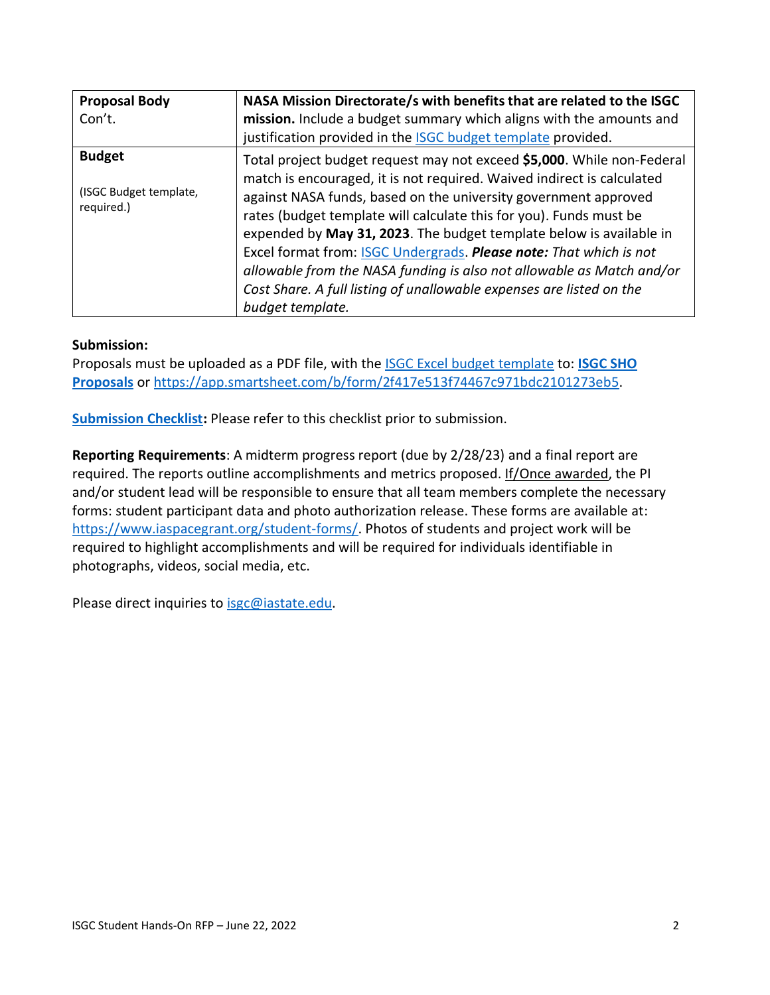| <b>Proposal Body</b><br>Con't.                        | NASA Mission Directorate/s with benefits that are related to the ISGC<br>mission. Include a budget summary which aligns with the amounts and<br>justification provided in the <b>ISGC</b> budget template provided.                                                                                                                                                                                                                                                                                                                                                                                                |
|-------------------------------------------------------|--------------------------------------------------------------------------------------------------------------------------------------------------------------------------------------------------------------------------------------------------------------------------------------------------------------------------------------------------------------------------------------------------------------------------------------------------------------------------------------------------------------------------------------------------------------------------------------------------------------------|
| <b>Budget</b><br>(ISGC Budget template,<br>required.) | Total project budget request may not exceed \$5,000. While non-Federal<br>match is encouraged, it is not required. Waived indirect is calculated<br>against NASA funds, based on the university government approved<br>rates (budget template will calculate this for you). Funds must be<br>expended by May 31, 2023. The budget template below is available in<br>Excel format from: <b>ISGC Undergrads. Please note:</b> That which is not<br>allowable from the NASA funding is also not allowable as Match and/or<br>Cost Share. A full listing of unallowable expenses are listed on the<br>budget template. |

#### **Submission:**

Proposals must be uploaded as a PDF file, with the [ISGC Excel budget template](https://www.iaspacegrant.org/files/2022/06/Budget-template_PY33-SHO.xlsx) to: **[ISGC SHO](https://app.smartsheet.com/b/form/2f417e513f74467c971bdc2101273eb5)  [Proposals](https://app.smartsheet.com/b/form/2f417e513f74467c971bdc2101273eb5)** or [https://app.smartsheet.com/b/form/2f417e513f74467c971bdc2101273eb5.](https://app.smartsheet.com/b/form/2f417e513f74467c971bdc2101273eb5)

**[Submission Checklist:](https://www.iaspacegrant.org/files/2022/06/SHO_2022-2023_Subm_Checklist_6-22-22.docx)** Please refer to this checklist prior to submission.

**Reporting Requirements**: A midterm progress report (due by 2/28/23) and a final report are required. The reports outline accomplishments and metrics proposed. If/Once awarded, the PI and/or student lead will be responsible to ensure that all team members complete the necessary forms: student participant data and photo authorization release. These forms are available at: [https://www.iaspacegrant.org/student-forms/.](https://www.iaspacegrant.org/student-forms/) Photos of students and project work will be required to highlight accomplishments and will be required for individuals identifiable in photographs, videos, social media, etc.

Please direct inquiries to [isgc@iastate.edu.](mailto:isgc@iastate.edu)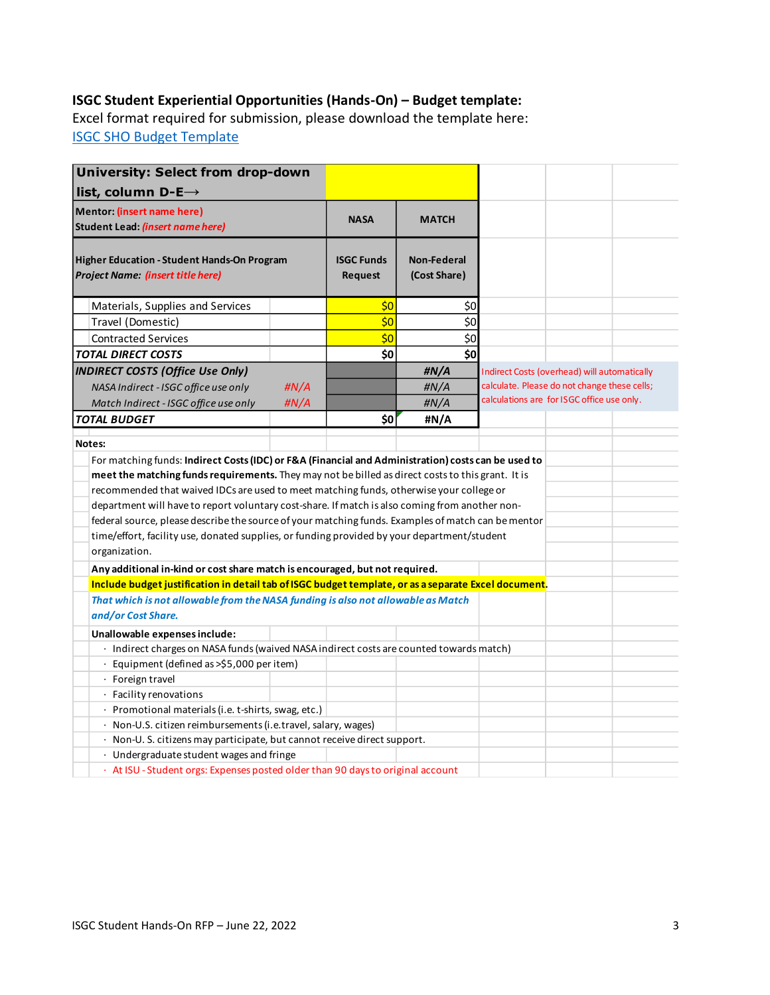# **ISGC Student Experiential Opportunities (Hands-On) – Budget template:**

Excel format required for submission, please download the template here: [ISGC SHO Budget Template](https://www.iaspacegrant.org/files/2022/06/Budget-template_PY33-SHO.xlsx)

| <b>University: Select from drop-down</b>                                                                                                                                                                                                                                                                                                                                                                                                                                                                             |             |                              |                                    |                                                                                              |  |  |
|----------------------------------------------------------------------------------------------------------------------------------------------------------------------------------------------------------------------------------------------------------------------------------------------------------------------------------------------------------------------------------------------------------------------------------------------------------------------------------------------------------------------|-------------|------------------------------|------------------------------------|----------------------------------------------------------------------------------------------|--|--|
| list, column D-E $\rightarrow$                                                                                                                                                                                                                                                                                                                                                                                                                                                                                       |             |                              |                                    |                                                                                              |  |  |
| Mentor: (insert name here)                                                                                                                                                                                                                                                                                                                                                                                                                                                                                           | <b>NASA</b> | <b>MATCH</b>                 |                                    |                                                                                              |  |  |
| Student Lead: (insert name here)                                                                                                                                                                                                                                                                                                                                                                                                                                                                                     |             |                              |                                    |                                                                                              |  |  |
| <b>Higher Education - Student Hands-On Program</b><br>Project Name: (insert title here)                                                                                                                                                                                                                                                                                                                                                                                                                              |             | <b>ISGC Funds</b><br>Request | <b>Non-Federal</b><br>(Cost Share) |                                                                                              |  |  |
| Materials, Supplies and Services                                                                                                                                                                                                                                                                                                                                                                                                                                                                                     |             | \$0                          | \$0                                |                                                                                              |  |  |
| Travel (Domestic)                                                                                                                                                                                                                                                                                                                                                                                                                                                                                                    |             | \$0                          | \$0                                |                                                                                              |  |  |
| <b>Contracted Services</b>                                                                                                                                                                                                                                                                                                                                                                                                                                                                                           |             | \$0                          | \$0                                |                                                                                              |  |  |
| <b>TOTAL DIRECT COSTS</b>                                                                                                                                                                                                                                                                                                                                                                                                                                                                                            |             | \$0                          | \$0                                |                                                                                              |  |  |
| <b>INDIRECT COSTS (Office Use Only)</b>                                                                                                                                                                                                                                                                                                                                                                                                                                                                              |             |                              | #N/A                               |                                                                                              |  |  |
| NASA Indirect - ISGC office use only                                                                                                                                                                                                                                                                                                                                                                                                                                                                                 | #N/A        |                              | H N/A                              | Indirect Costs (overhead) will automatically<br>calculate. Please do not change these cells; |  |  |
|                                                                                                                                                                                                                                                                                                                                                                                                                                                                                                                      | H N/A       |                              | #N/A                               | calculations are for ISGC office use only.                                                   |  |  |
| Match Indirect - ISGC office use only<br><b>TOTAL BUDGET</b>                                                                                                                                                                                                                                                                                                                                                                                                                                                         |             | \$0                          | #N/A                               |                                                                                              |  |  |
|                                                                                                                                                                                                                                                                                                                                                                                                                                                                                                                      |             |                              |                                    |                                                                                              |  |  |
| Notes:                                                                                                                                                                                                                                                                                                                                                                                                                                                                                                               |             |                              |                                    |                                                                                              |  |  |
| meet the matching funds requirements. They may not be billed as direct costs to this grant. It is<br>recommended that waived IDCs are used to meet matching funds, otherwise your college or<br>department will have to report voluntary cost-share. If match is also coming from another non-<br>federal source, please describe the source of your matching funds. Examples of match can be mentor<br>time/effort, facility use, donated supplies, or funding provided by your department/student<br>organization. |             |                              |                                    |                                                                                              |  |  |
| Any additional in-kind or cost share match is encouraged, but not required.                                                                                                                                                                                                                                                                                                                                                                                                                                          |             |                              |                                    |                                                                                              |  |  |
| Include budget justification in detail tab of ISGC budget template, or as a separate Excel document.                                                                                                                                                                                                                                                                                                                                                                                                                 |             |                              |                                    |                                                                                              |  |  |
| That which is not allowable from the NASA funding is also not allowable as Match<br>and/or Cost Share.                                                                                                                                                                                                                                                                                                                                                                                                               |             |                              |                                    |                                                                                              |  |  |
| Unallowable expenses include:                                                                                                                                                                                                                                                                                                                                                                                                                                                                                        |             |                              |                                    |                                                                                              |  |  |
| · Indirect charges on NASA funds (waived NASA indirect costs are counted towards match)                                                                                                                                                                                                                                                                                                                                                                                                                              |             |                              |                                    |                                                                                              |  |  |
| Equipment (defined as >\$5,000 per item)                                                                                                                                                                                                                                                                                                                                                                                                                                                                             |             |                              |                                    |                                                                                              |  |  |
| · Foreign travel                                                                                                                                                                                                                                                                                                                                                                                                                                                                                                     |             |                              |                                    |                                                                                              |  |  |
| · Facility renovations                                                                                                                                                                                                                                                                                                                                                                                                                                                                                               |             |                              |                                    |                                                                                              |  |  |
| · Promotional materials (i.e. t-shirts, swag, etc.)                                                                                                                                                                                                                                                                                                                                                                                                                                                                  |             |                              |                                    |                                                                                              |  |  |
| · Non-U.S. citizen reimbursements (i.e.travel, salary, wages)                                                                                                                                                                                                                                                                                                                                                                                                                                                        |             |                              |                                    |                                                                                              |  |  |
| $\cdot$ Non-U. S. citizens may participate, but cannot receive direct support.                                                                                                                                                                                                                                                                                                                                                                                                                                       |             |                              |                                    |                                                                                              |  |  |
| · Undergraduate student wages and fringe                                                                                                                                                                                                                                                                                                                                                                                                                                                                             |             |                              |                                    |                                                                                              |  |  |
| · At ISU - Student orgs: Expenses posted older than 90 days to original account                                                                                                                                                                                                                                                                                                                                                                                                                                      |             |                              |                                    |                                                                                              |  |  |